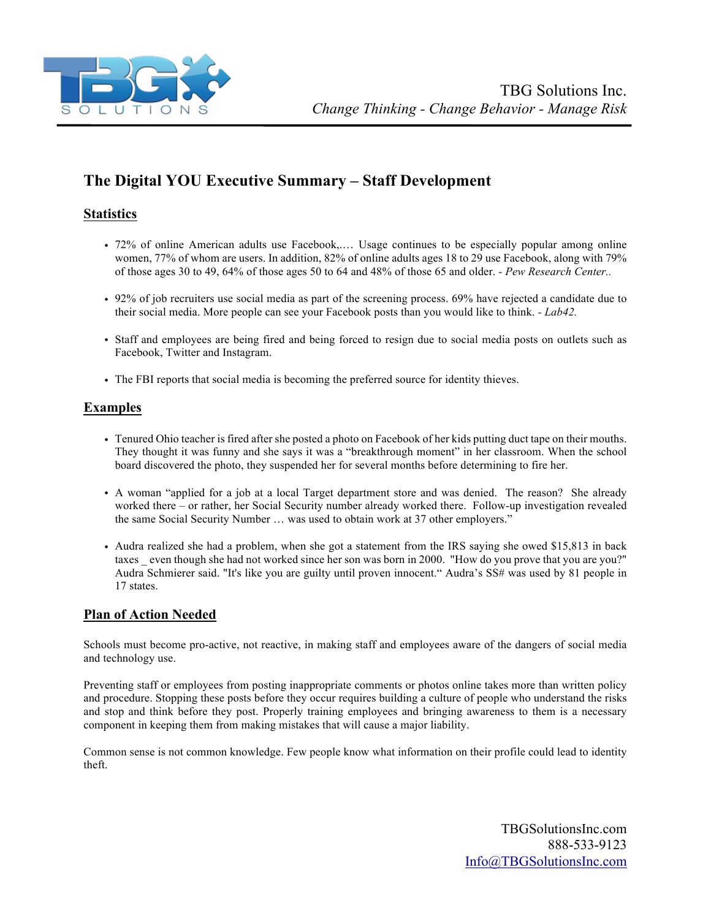

# **The Digital YOU Executive Summary – Staff Development**

# **Statistics**

- 72% of online American adults use Facebook,.… Usage continues to be especially popular among online women, 77% of whom are users. In addition, 82% of online adults ages 18 to 29 use Facebook, along with 79% of those ages 30 to 49, 64% of those ages 50 to 64 and 48% of those 65 and older. *- Pew Research Center..*
- 92% of job recruiters use social media as part of the screening process. 69% have rejected a candidate due to their social media. More people can see your Facebook posts than you would like to think. *- Lab42.*
- Staff and employees are being fired and being forced to resign due to social media posts on outlets such as Facebook, Twitter and Instagram.
- The FBI reports that social media is becoming the preferred source for identity thieves.

# **Examples**

- Tenured Ohio teacher is fired after she posted a photo on Facebook of her kids putting duct tape on their mouths. They thought it was funny and she says it was a "breakthrough moment" in her classroom. When the school board discovered the photo, they suspended her for several months before determining to fire her.
- A woman "applied for a job at a local Target department store and was denied. The reason? She already worked there – or rather, her Social Security number already worked there. Follow-up investigation revealed the same Social Security Number … was used to obtain work at 37 other employers."
- Audra realized she had a problem, when she got a statement from the IRS saying she owed \$15,813 in back taxes even though she had not worked since her son was born in 2000. "How do you prove that you are you?" Audra Schmierer said. "It's like you are guilty until proven innocent." Audra's SS# was used by 81 people in 17 states.

# **Plan of Action Needed**

Schools must become pro-active, not reactive, in making staff and employees aware of the dangers of social media and technology use.

Preventing staff or employees from posting inappropriate comments or photos online takes more than written policy and procedure. Stopping these posts before they occur requires building a culture of people who understand the risks and stop and think before they post. Properly training employees and bringing awareness to them is a necessary component in keeping them from making mistakes that will cause a major liability.

Common sense is not common knowledge. Few people know what information on their profile could lead to identity theft.